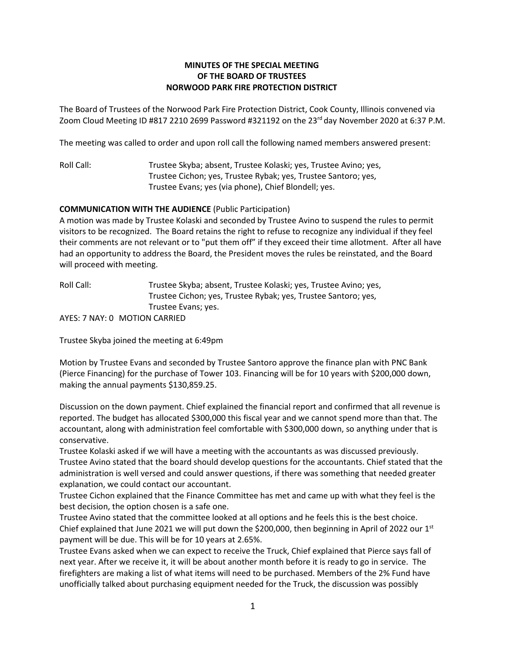## **MINUTES OF THE SPECIAL MEETING OF THE BOARD OF TRUSTEES NORWOOD PARK FIRE PROTECTION DISTRICT**

The Board of Trustees of the Norwood Park Fire Protection District, Cook County, Illinois convened via Zoom Cloud Meeting ID #817 2210 2699 Password #321192 on the 23<sup>rd</sup> day November 2020 at 6:37 P.M.

The meeting was called to order and upon roll call the following named members answered present:

Roll Call: Trustee Skyba; absent, Trustee Kolaski; yes, Trustee Avino; yes, Trustee Cichon; yes, Trustee Rybak; yes, Trustee Santoro; yes, Trustee Evans; yes (via phone), Chief Blondell; yes.

## **COMMUNICATION WITH THE AUDIENCE** (Public Participation)

A motion was made by Trustee Kolaski and seconded by Trustee Avino to suspend the rules to permit visitors to be recognized. The Board retains the right to refuse to recognize any individual if they feel their comments are not relevant or to "put them off" if they exceed their time allotment. After all have had an opportunity to address the Board, the President moves the rules be reinstated, and the Board will proceed with meeting.

Roll Call: Trustee Skyba; absent, Trustee Kolaski; yes, Trustee Avino; yes, Trustee Cichon; yes, Trustee Rybak; yes, Trustee Santoro; yes, Trustee Evans; yes.

AYES: 7 NAY: 0 MOTION CARRIED

Trustee Skyba joined the meeting at 6:49pm

Motion by Trustee Evans and seconded by Trustee Santoro approve the finance plan with PNC Bank (Pierce Financing) for the purchase of Tower 103. Financing will be for 10 years with \$200,000 down, making the annual payments \$130,859.25.

Discussion on the down payment. Chief explained the financial report and confirmed that all revenue is reported. The budget has allocated \$300,000 this fiscal year and we cannot spend more than that. The accountant, along with administration feel comfortable with \$300,000 down, so anything under that is conservative.

Trustee Kolaski asked if we will have a meeting with the accountants as was discussed previously. Trustee Avino stated that the board should develop questions for the accountants. Chief stated that the administration is well versed and could answer questions, if there was something that needed greater explanation, we could contact our accountant.

Trustee Cichon explained that the Finance Committee has met and came up with what they feel is the best decision, the option chosen is a safe one.

Trustee Avino stated that the committee looked at all options and he feels this is the best choice. Chief explained that June 2021 we will put down the \$200,000, then beginning in April of 2022 our  $1<sup>st</sup>$ payment will be due. This will be for 10 years at 2.65%.

Trustee Evans asked when we can expect to receive the Truck, Chief explained that Pierce says fall of next year. After we receive it, it will be about another month before it is ready to go in service. The firefighters are making a list of what items will need to be purchased. Members of the 2% Fund have unofficially talked about purchasing equipment needed for the Truck, the discussion was possibly